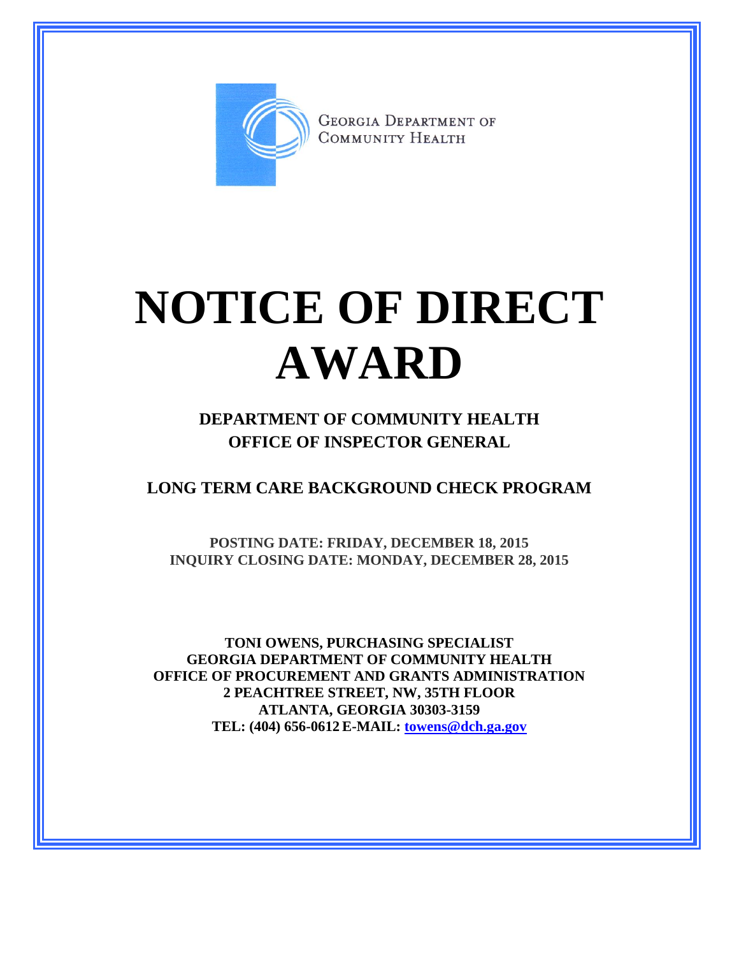

**GEORGIA DEPARTMENT OF** COMMUNITY HEALTH

## **NOTICE OF DIRECT AWARD**

**DEPARTMENT OF COMMUNITY HEALTH OFFICE OF INSPECTOR GENERAL**

**LONG TERM CARE BACKGROUND CHECK PROGRAM**

**POSTING DATE: FRIDAY, DECEMBER 18, 2015 INQUIRY CLOSING DATE: MONDAY, DECEMBER 28, 2015**

**TONI OWENS, PURCHASING SPECIALIST GEORGIA DEPARTMENT OF COMMUNITY HEALTH OFFICE OF PROCUREMENT AND GRANTS ADMINISTRATION 2 PEACHTREE STREET, NW, 35TH FLOOR ATLANTA, GEORGIA 30303-3159 TEL: (404) 656-0612 E-MAIL: [towens@dch.ga.gov](mailto:towens@dch.ga.gov)**